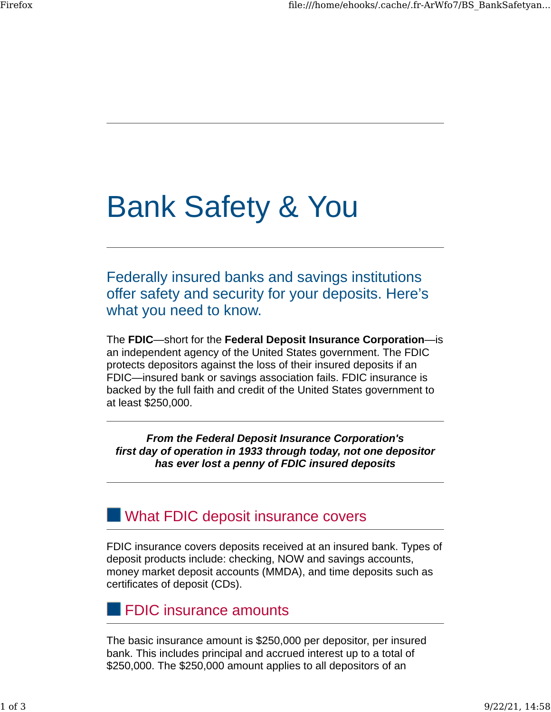# Bank Safety & You

Federally insured banks and savings institutions offer safety and security for your deposits. Here's what you need to know.

The **FDIC**—short for the **Federal Deposit Insurance Corporation**—is an independent agency of the United States government. The FDIC protects depositors against the loss of their insured deposits if an FDIC—insured bank or savings association fails. FDIC insurance is backed by the full faith and credit of the United States government to at least \$250,000.

*From the Federal Deposit Insurance Corporation's first day of operation in 1933 through today, not one depositor has ever lost a penny of FDIC insured deposits*

## **NAT What FDIC deposit insurance covers**

FDIC insurance covers deposits received at an insured bank. Types of deposit products include: checking, NOW and savings accounts, money market deposit accounts (MMDA), and time deposits such as certificates of deposit (CDs).

### FDIC insurance amounts

The basic insurance amount is \$250,000 per depositor, per insured bank. This includes principal and accrued interest up to a total of \$250,000. The \$250,000 amount applies to all depositors of an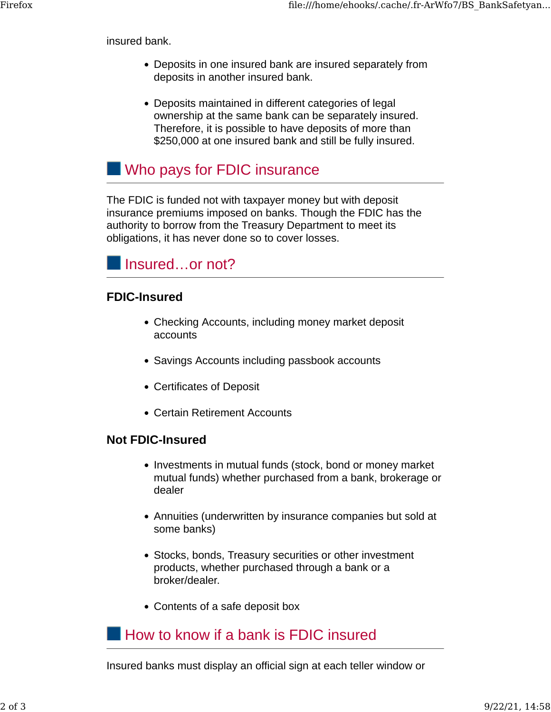insured bank.

- Deposits in one insured bank are insured separately from deposits in another insured bank.
- Deposits maintained in different categories of legal ownership at the same bank can be separately insured. Therefore, it is possible to have deposits of more than \$250,000 at one insured bank and still be fully insured.

## **No pays for FDIC insurance**

The FDIC is funded not with taxpayer money but with deposit insurance premiums imposed on banks. Though the FDIC has the authority to borrow from the Treasury Department to meet its obligations, it has never done so to cover losses.



#### **FDIC-Insured**

- Checking Accounts, including money market deposit accounts
- Savings Accounts including passbook accounts
- Certificates of Deposit
- Certain Retirement Accounts

#### **Not FDIC-Insured**

- Investments in mutual funds (stock, bond or money market mutual funds) whether purchased from a bank, brokerage or dealer
- Annuities (underwritten by insurance companies but sold at some banks)
- Stocks, bonds, Treasury securities or other investment products, whether purchased through a bank or a broker/dealer.
- Contents of a safe deposit box

## **How to know if a bank is FDIC insured**

Insured banks must display an official sign at each teller window or